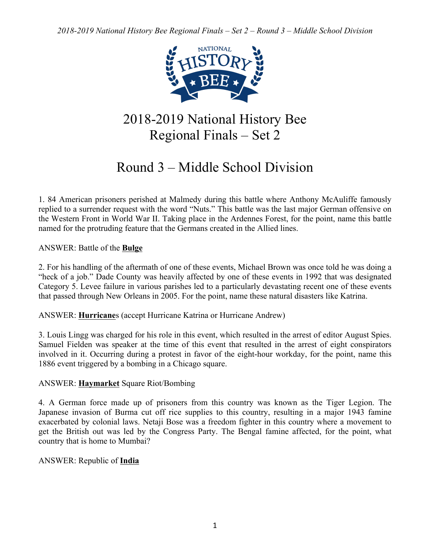

# 2018-2019 National History Bee Regional Finals – Set 2

# Round 3 – Middle School Division

1. 84 American prisoners perished at Malmedy during this battle where Anthony McAuliffe famously replied to a surrender request with the word "Nuts." This battle was the last major German offensive on the Western Front in World War II. Taking place in the Ardennes Forest, for the point, name this battle named for the protruding feature that the Germans created in the Allied lines.

ANSWER: Battle of the **Bulge**

2. For his handling of the aftermath of one of these events, Michael Brown was once told he was doing a "heck of a job." Dade County was heavily affected by one of these events in 1992 that was designated Category 5. Levee failure in various parishes led to a particularly devastating recent one of these events that passed through New Orleans in 2005. For the point, name these natural disasters like Katrina.

ANSWER: **Hurricane**s (accept Hurricane Katrina or Hurricane Andrew)

3. Louis Lingg was charged for his role in this event, which resulted in the arrest of editor August Spies. Samuel Fielden was speaker at the time of this event that resulted in the arrest of eight conspirators involved in it. Occurring during a protest in favor of the eight-hour workday, for the point, name this 1886 event triggered by a bombing in a Chicago square.

## ANSWER: **Haymarket** Square Riot/Bombing

4. A German force made up of prisoners from this country was known as the Tiger Legion. The Japanese invasion of Burma cut off rice supplies to this country, resulting in a major 1943 famine exacerbated by colonial laws. Netaji Bose was a freedom fighter in this country where a movement to get the British out was led by the Congress Party. The Bengal famine affected, for the point, what country that is home to Mumbai?

## ANSWER: Republic of **India**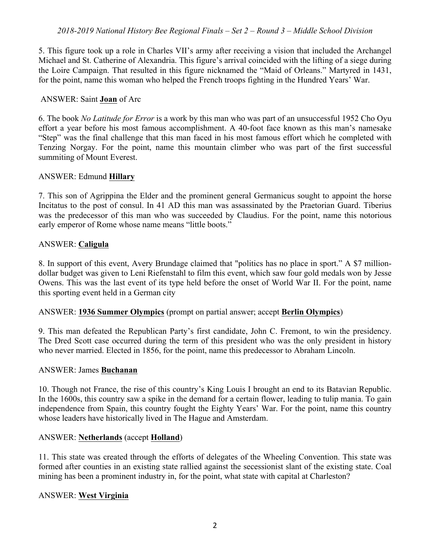5. This figure took up a role in Charles VII's army after receiving a vision that included the Archangel Michael and St. Catherine of Alexandria. This figure's arrival coincided with the lifting of a siege during the Loire Campaign. That resulted in this figure nicknamed the "Maid of Orleans." Martyred in 1431, for the point, name this woman who helped the French troops fighting in the Hundred Years' War.

#### ANSWER: Saint **Joan** of Arc

6. The book *No Latitude for Error* is a work by this man who was part of an unsuccessful 1952 Cho Oyu effort a year before his most famous accomplishment. A 40-foot face known as this man's namesake "Step" was the final challenge that this man faced in his most famous effort which he completed with Tenzing Norgay. For the point, name this mountain climber who was part of the first successful summiting of Mount Everest.

#### ANSWER: Edmund **Hillary**

7. This son of Agrippina the Elder and the prominent general Germanicus sought to appoint the horse Incitatus to the post of consul. In 41 AD this man was assassinated by the Praetorian Guard. Tiberius was the predecessor of this man who was succeeded by Claudius. For the point, name this notorious early emperor of Rome whose name means "little boots."

## ANSWER: **Caligula**

8. In support of this event, Avery Brundage claimed that "politics has no place in sport." A \$7 milliondollar budget was given to Leni Riefenstahl to film this event, which saw four gold medals won by Jesse Owens. This was the last event of its type held before the onset of World War II. For the point, name this sporting event held in a German city

## ANSWER: **1936 Summer Olympics** (prompt on partial answer; accept **Berlin Olympics**)

9. This man defeated the Republican Party's first candidate, John C. Fremont, to win the presidency. The Dred Scott case occurred during the term of this president who was the only president in history who never married. Elected in 1856, for the point, name this predecessor to Abraham Lincoln.

#### ANSWER: James **Buchanan**

10. Though not France, the rise of this country's King Louis I brought an end to its Batavian Republic. In the 1600s, this country saw a spike in the demand for a certain flower, leading to tulip mania. To gain independence from Spain, this country fought the Eighty Years' War. For the point, name this country whose leaders have historically lived in The Hague and Amsterdam.

#### ANSWER: **Netherlands** (accept **Holland**)

11. This state was created through the efforts of delegates of the Wheeling Convention. This state was formed after counties in an existing state rallied against the secessionist slant of the existing state. Coal mining has been a prominent industry in, for the point, what state with capital at Charleston?

#### ANSWER: **West Virginia**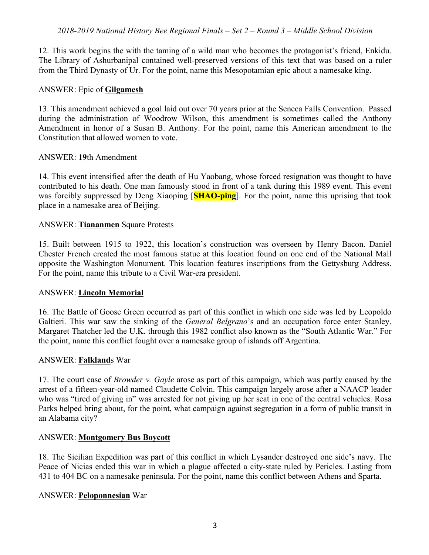12. This work begins the with the taming of a wild man who becomes the protagonist's friend, Enkidu. The Library of Ashurbanipal contained well-preserved versions of this text that was based on a ruler from the Third Dynasty of Ur. For the point, name this Mesopotamian epic about a namesake king.

#### ANSWER: Epic of **Gilgamesh**

13. This amendment achieved a goal laid out over 70 years prior at the Seneca Falls Convention. Passed during the administration of Woodrow Wilson, this amendment is sometimes called the Anthony Amendment in honor of a Susan B. Anthony. For the point, name this American amendment to the Constitution that allowed women to vote.

#### ANSWER: **19**th Amendment

14. This event intensified after the death of Hu Yaobang, whose forced resignation was thought to have contributed to his death. One man famously stood in front of a tank during this 1989 event. This event was forcibly suppressed by Deng Xiaoping [**SHAO-ping**]. For the point, name this uprising that took place in a namesake area of Beijing.

#### ANSWER: **Tiananmen** Square Protests

15. Built between 1915 to 1922, this location's construction was overseen by Henry Bacon. Daniel Chester French created the most famous statue at this location found on one end of the National Mall opposite the Washington Monument. This location features inscriptions from the Gettysburg Address. For the point, name this tribute to a Civil War-era president.

#### ANSWER: **Lincoln Memorial**

16. The Battle of Goose Green occurred as part of this conflict in which one side was led by Leopoldo Galtieri. This war saw the sinking of the *General Belgrano*'s and an occupation force enter Stanley. Margaret Thatcher led the U.K. through this 1982 conflict also known as the "South Atlantic War." For the point, name this conflict fought over a namesake group of islands off Argentina.

#### ANSWER: **Falkland**s War

17. The court case of *Browder v. Gayle* arose as part of this campaign, which was partly caused by the arrest of a fifteen-year-old named Claudette Colvin. This campaign largely arose after a NAACP leader who was "tired of giving in" was arrested for not giving up her seat in one of the central vehicles. Rosa Parks helped bring about, for the point, what campaign against segregation in a form of public transit in an Alabama city?

#### ANSWER: **Montgomery Bus Boycott**

18. The Sicilian Expedition was part of this conflict in which Lysander destroyed one side's navy. The Peace of Nicias ended this war in which a plague affected a city-state ruled by Pericles. Lasting from 431 to 404 BC on a namesake peninsula. For the point, name this conflict between Athens and Sparta.

#### ANSWER: **Peloponnesian** War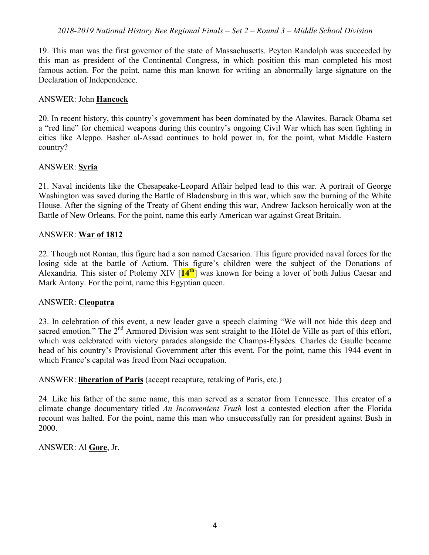19. This man was the first governor of the state of Massachusetts. Peyton Randolph was succeeded by this man as president of the Continental Congress, in which position this man completed his most famous action. For the point, name this man known for writing an abnormally large signature on the Declaration of Independence.

#### ANSWER: John **Hancock**

20. In recent history, this country's government has been dominated by the Alawites. Barack Obama set a "red line" for chemical weapons during this country's ongoing Civil War which has seen fighting in cities like Aleppo. Basher al-Assad continues to hold power in, for the point, what Middle Eastern country?

## ANSWER: **Syria**

21. Naval incidents like the Chesapeake-Leopard Affair helped lead to this war. A portrait of George Washington was saved during the Battle of Bladensburg in this war, which saw the burning of the White House. After the signing of the Treaty of Ghent ending this war, Andrew Jackson heroically won at the Battle of New Orleans. For the point, name this early American war against Great Britain.

## ANSWER: **War of 1812**

22. Though not Roman, this figure had a son named Caesarion. This figure provided naval forces for the losing side at the battle of Actium. This figure's children were the subject of the Donations of Alexandria. This sister of Ptolemy XIV [**14th**] was known for being a lover of both Julius Caesar and Mark Antony. For the point, name this Egyptian queen.

#### ANSWER: **Cleopatra**

23. In celebration of this event, a new leader gave a speech claiming "We will not hide this deep and sacred emotion." The 2<sup>nd</sup> Armored Division was sent straight to the Hôtel de Ville as part of this effort, which was celebrated with victory parades alongside the Champs-Élysées. Charles de Gaulle became head of his country's Provisional Government after this event. For the point, name this 1944 event in which France's capital was freed from Nazi occupation.

#### ANSWER: **liberation of Paris** (accept recapture, retaking of Paris, etc.)

24. Like his father of the same name, this man served as a senator from Tennessee. This creator of a climate change documentary titled *An Inconvenient Truth* lost a contested election after the Florida recount was halted. For the point, name this man who unsuccessfully ran for president against Bush in 2000.

## ANSWER: Al **Gore**, Jr.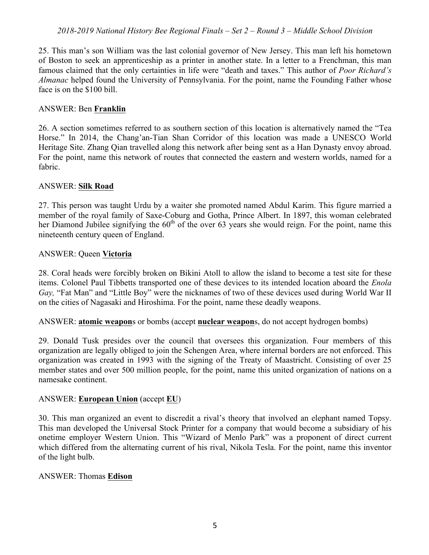25. This man's son William was the last colonial governor of New Jersey. This man left his hometown of Boston to seek an apprenticeship as a printer in another state. In a letter to a Frenchman, this man famous claimed that the only certainties in life were "death and taxes." This author of *Poor Richard's Almanac* helped found the University of Pennsylvania. For the point, name the Founding Father whose face is on the \$100 bill.

#### ANSWER: Ben **Franklin**

26. A section sometimes referred to as southern section of this location is alternatively named the "Tea Horse." In 2014, the Chang'an-Tian Shan Corridor of this location was made a UNESCO World Heritage Site. Zhang Qian travelled along this network after being sent as a Han Dynasty envoy abroad. For the point, name this network of routes that connected the eastern and western worlds, named for a fabric.

#### ANSWER: **Silk Road**

27. This person was taught Urdu by a waiter she promoted named Abdul Karim. This figure married a member of the royal family of Saxe-Coburg and Gotha, Prince Albert. In 1897, this woman celebrated her Diamond Jubilee signifying the  $60<sup>th</sup>$  of the over 63 years she would reign. For the point, name this nineteenth century queen of England.

## ANSWER: Queen **Victoria**

28. Coral heads were forcibly broken on Bikini Atoll to allow the island to become a test site for these items. Colonel Paul Tibbetts transported one of these devices to its intended location aboard the *Enola Gay,* "Fat Man" and "Little Boy" were the nicknames of two of these devices used during World War II on the cities of Nagasaki and Hiroshima. For the point, name these deadly weapons.

ANSWER: **atomic weapon**s or bombs (accept **nuclear weapon**s, do not accept hydrogen bombs)

29. Donald Tusk presides over the council that oversees this organization. Four members of this organization are legally obliged to join the Schengen Area, where internal borders are not enforced. This organization was created in 1993 with the signing of the Treaty of Maastricht. Consisting of over 25 member states and over 500 million people, for the point, name this united organization of nations on a namesake continent.

## ANSWER: **European Union** (accept **EU**)

30. This man organized an event to discredit a rival's theory that involved an elephant named Topsy. This man developed the Universal Stock Printer for a company that would become a subsidiary of his onetime employer Western Union. This "Wizard of Menlo Park" was a proponent of direct current which differed from the alternating current of his rival, Nikola Tesla. For the point, name this inventor of the light bulb.

#### ANSWER: Thomas **Edison**